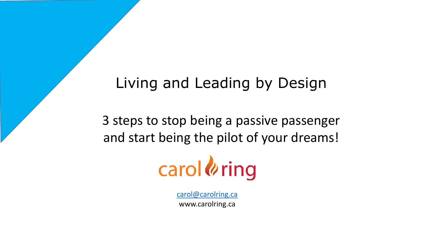# Living and Leading by Design

3 steps to stop being a passive passenger and start being the pilot of your dreams!



[carol@carolring.ca](mailto:carol@carolring.ca) www.carolring.ca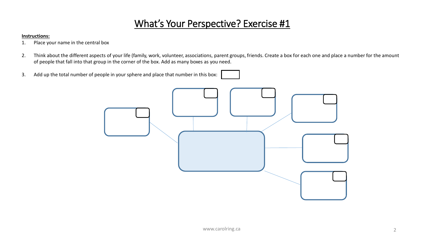## What's Your Perspective? Exercise #1

#### **Instructions:**

- 1. Place your name in the central box
- 2. Think about the different aspects of your life (family, work, volunteer, associations, parent groups, friends. Create a box for each one and place a number for the amount of people that fall into that group in the corner of the box. Add as many boxes as you need.
- 3. Add up the total number of people in your sphere and place that number in this box:

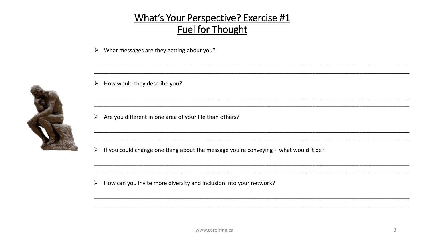### **What's Your Perspective? Exercise #1 Fuel for Thought**

What messages are they getting about you?  $\blacktriangleright$ 

 $\triangleright$  How would they describe you?

 $\triangleright$  Are you different in one area of your life than others?

If you could change one thing about the message you're conveying - what would it be?  $\blacktriangleright$ 

How can you invite more diversity and inclusion into your network?  $\blacktriangleright$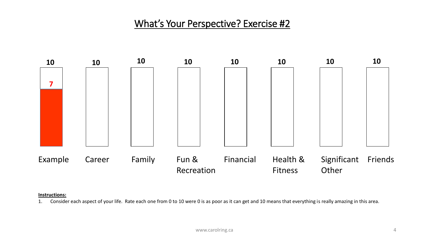### What's Your Perspective? Exercise #2



#### **Instructions:**

1. Consider each aspect of your life. Rate each one from 0 to 10 were 0 is as poor as it can get and 10 means that everything is really amazing in this area.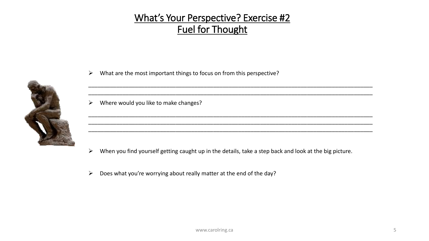## What's Your Perspective? Exercise #2 Fuel for Thought

 $\triangleright$  What are the most important things to focus on from this perspective?



\_\_\_\_\_\_\_\_\_\_\_\_\_\_\_\_\_\_\_\_\_\_\_\_\_\_\_\_\_\_\_\_\_\_\_\_\_\_\_\_\_\_\_\_\_\_\_\_\_\_\_\_\_\_\_\_\_\_\_\_\_\_\_\_\_\_\_\_\_\_\_\_\_\_\_\_\_\_\_\_\_\_\_\_\_\_\_\_\_\_\_

 $\triangleright$  Where would you like to make changes?

 $\triangleright$  When you find yourself getting caught up in the details, take a step back and look at the big picture.

\_\_\_\_\_\_\_\_\_\_\_\_\_\_\_\_\_\_\_\_\_\_\_\_\_\_\_\_\_\_\_\_\_\_\_\_\_\_\_\_\_\_\_\_\_\_\_\_\_\_\_\_\_\_\_\_\_\_\_\_\_\_\_\_\_\_\_\_\_\_\_\_\_\_\_\_\_\_\_\_\_\_\_\_\_\_\_\_\_\_\_

\_\_\_\_\_\_\_\_\_\_\_\_\_\_\_\_\_\_\_\_\_\_\_\_\_\_\_\_\_\_\_\_\_\_\_\_\_\_\_\_\_\_\_\_\_\_\_\_\_\_\_\_\_\_\_\_\_\_\_\_\_\_\_\_\_\_\_\_\_\_\_\_\_\_\_\_\_\_\_\_\_\_\_\_\_\_\_\_\_\_\_ \_\_\_\_\_\_\_\_\_\_\_\_\_\_\_\_\_\_\_\_\_\_\_\_\_\_\_\_\_\_\_\_\_\_\_\_\_\_\_\_\_\_\_\_\_\_\_\_\_\_\_\_\_\_\_\_\_\_\_\_\_\_\_\_\_\_\_\_\_\_\_\_\_\_\_\_\_\_\_\_\_\_\_\_\_\_\_\_\_\_\_ \_\_\_\_\_\_\_\_\_\_\_\_\_\_\_\_\_\_\_\_\_\_\_\_\_\_\_\_\_\_\_\_\_\_\_\_\_\_\_\_\_\_\_\_\_\_\_\_\_\_\_\_\_\_\_\_\_\_\_\_\_\_\_\_\_\_\_\_\_\_\_\_\_\_\_\_\_\_\_\_\_\_\_\_\_\_\_\_\_\_\_

 $\triangleright$  Does what you're worrying about really matter at the end of the day?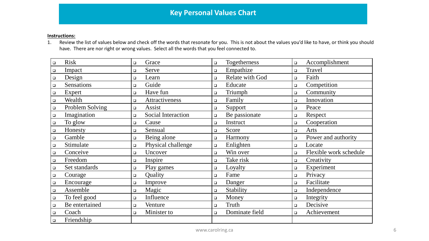#### **Instructions:**

1. Review the list of values below and check off the words that resonate for you. This is not about the values you'd like to have, or think you should have. There are nor right or wrong values. Select all the words that you feel connected to.

| <b>Risk</b><br>$\Box$      | $\Box$                    | Grace                     | $\Box$ | Togetherness    | $\Box$ | Accomplishment         |
|----------------------------|---------------------------|---------------------------|--------|-----------------|--------|------------------------|
| Impact<br>$\Box$           | $\Box$                    | Serve                     | $\Box$ | Empathize       | $\Box$ | Travel                 |
| Design<br>$\Box$           | $\Box$                    | Learn                     | $\Box$ | Relate with God | $\Box$ | Faith                  |
| Sensations<br>$\Box$       | $\Box$                    | Guide                     | $\Box$ | Educate         | $\Box$ | Competition            |
| Expert<br>$\Box$           | $\Box$                    | Have fun                  | $\Box$ | Triumph         | $\Box$ | Community              |
| Wealth<br>$\hfill \square$ | $\Box$                    | Attractiveness            | $\Box$ | Family          | $\Box$ | Innovation             |
| $\Box$                     | Problem Solving<br>$\Box$ | Assist                    | $\Box$ | Support         | $\Box$ | Peace                  |
| Imagination<br>$\Box$      | $\Box$                    | <b>Social Interaction</b> | $\Box$ | Be passionate   | $\Box$ | Respect                |
| To glow<br>$\Box$          | $\Box$                    | Cause                     | $\Box$ | Instruct        | $\Box$ | Cooperation            |
| Honesty<br>$\Box$          | $\Box$                    | Sensual                   | $\Box$ | Score           | $\Box$ | Arts                   |
| Gamble<br>$\Box$           | $\Box$                    | Being alone               | $\Box$ | Harmony         | $\Box$ | Power and authority    |
| Stimulate<br>$\Box$        | $\Box$                    | Physical challenge        | $\Box$ | Enlighten       | $\Box$ | Locate                 |
| Conceive<br>$\Box$         | $\Box$                    | Uncover                   | $\Box$ | Win over        | $\Box$ | Flexible work schedule |
| Freedom<br>$\Box$          | $\Box$                    | Inspire                   | $\Box$ | Take risk       | $\Box$ | Creativity             |
| $\Box$                     | Set standards<br>$\Box$   | Play games                | $\Box$ | Loyalty         | $\Box$ | Experiment             |
| Courage<br>$\Box$          | $\Box$                    | Quality                   | $\Box$ | Fame            | $\Box$ | Privacy                |
| Encourage<br>$\Box$        | $\Box$                    | Improve                   | $\Box$ | Danger          | $\Box$ | Facilitate             |
| Assemble<br>$\Box$         | $\Box$                    | Magic                     | $\Box$ | Stability       | $\Box$ | Independence           |
| To feel good<br>$\Box$     | $\Box$                    | Influence                 | $\Box$ | Money           | $\Box$ | Integrity              |
| $\Box$                     | Be entertained<br>$\Box$  | Venture                   | $\Box$ | Truth           | $\Box$ | Decisive               |
| Coach<br>$\Box$            | $\Box$                    | Minister to               | $\Box$ | Dominate field  | $\Box$ | Achievement            |
| Friendship<br>$\Box$       |                           |                           |        |                 |        |                        |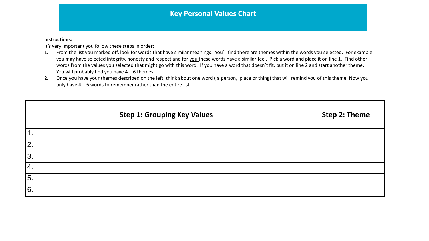#### **Instructions:**

It's very important you follow these steps in order:

- 1. From the list you marked off, look for words that have similar meanings. You'll find there are themes within the words you selected. For example you may have selected integrity, honesty and respect and for you these words have a similar feel. Pick a word and place it on line 1. Find other words from the values you selected that might go with this word. If you have a word that doesn't fit, put it on line 2 and start another theme. You will probably find you have  $4 - 6$  themes
- 2. Once you have your themes described on the left, think about one word (a person, place or thing) that will remind you of this theme. Now you only have 4 – 6 words to remember rather than the entire list.

| <b>Step 1: Grouping Key Values</b> | Step 2: Theme |
|------------------------------------|---------------|
| 1.                                 |               |
| 2.                                 |               |
| 3.                                 |               |
| 4.                                 |               |
| 5.                                 |               |
| 6.                                 |               |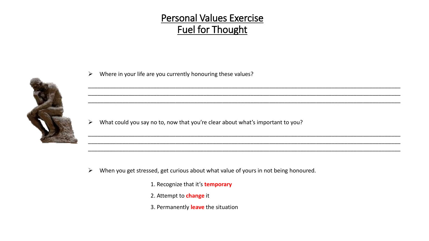### Personal Values Exercise Fuel for Thought

\_\_\_\_\_\_\_\_\_\_\_\_\_\_\_\_\_\_\_\_\_\_\_\_\_\_\_\_\_\_\_\_\_\_\_\_\_\_\_\_\_\_\_\_\_\_\_\_\_\_\_\_\_\_\_\_\_\_\_\_\_\_\_\_\_\_\_\_\_\_\_\_\_\_\_\_\_\_\_\_\_\_\_\_\_\_\_\_\_\_\_\_\_\_\_\_\_\_\_\_ \_\_\_\_\_\_\_\_\_\_\_\_\_\_\_\_\_\_\_\_\_\_\_\_\_\_\_\_\_\_\_\_\_\_\_\_\_\_\_\_\_\_\_\_\_\_\_\_\_\_\_\_\_\_\_\_\_\_\_\_\_\_\_\_\_\_\_\_\_\_\_\_\_\_\_\_\_\_\_\_\_\_\_\_\_\_\_\_\_\_\_\_\_\_\_\_\_\_\_\_ \_\_\_\_\_\_\_\_\_\_\_\_\_\_\_\_\_\_\_\_\_\_\_\_\_\_\_\_\_\_\_\_\_\_\_\_\_\_\_\_\_\_\_\_\_\_\_\_\_\_\_\_\_\_\_\_\_\_\_\_\_\_\_\_\_\_\_\_\_\_\_\_\_\_\_\_\_\_\_\_\_\_\_\_\_\_\_\_\_\_\_\_\_\_\_\_\_\_\_\_

\_\_\_\_\_\_\_\_\_\_\_\_\_\_\_\_\_\_\_\_\_\_\_\_\_\_\_\_\_\_\_\_\_\_\_\_\_\_\_\_\_\_\_\_\_\_\_\_\_\_\_\_\_\_\_\_\_\_\_\_\_\_\_\_\_\_\_\_\_\_\_\_\_\_\_\_\_\_\_\_\_\_\_\_\_\_\_\_\_\_\_\_\_\_\_\_\_\_\_\_ \_\_\_\_\_\_\_\_\_\_\_\_\_\_\_\_\_\_\_\_\_\_\_\_\_\_\_\_\_\_\_\_\_\_\_\_\_\_\_\_\_\_\_\_\_\_\_\_\_\_\_\_\_\_\_\_\_\_\_\_\_\_\_\_\_\_\_\_\_\_\_\_\_\_\_\_\_\_\_\_\_\_\_\_\_\_\_\_\_\_\_\_\_\_\_\_\_\_\_\_

\_\_\_\_\_\_\_\_\_\_\_\_\_\_\_\_\_\_\_\_\_\_\_\_\_\_\_\_\_\_\_\_\_\_\_\_\_\_\_\_\_\_\_\_\_\_\_\_\_\_\_\_\_\_\_\_\_\_\_\_\_\_\_\_\_\_\_\_\_\_\_\_\_\_\_\_\_\_\_\_\_\_\_\_\_\_\_\_\_\_\_\_\_\_\_\_\_\_\_\_



 $\triangleright$  Where in your life are you currently honouring these values?

 $\triangleright$  What could you say no to, now that you're clear about what's important to you?

- $\triangleright$  When you get stressed, get curious about what value of yours in not being honoured.
	- 1. Recognize that it's **temporary**
	- 2. Attempt to **change** it
	- 3. Permanently **leave** the situation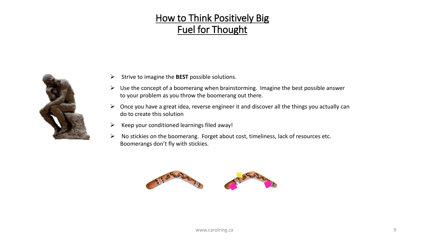## How to Think Positively Big Fuel for Thought



- $\triangleright$  Strive to imagine the **BEST** possible solutions.
- $\triangleright$  Use the concept of a boomerang when brainstorming. Imagine the best possible answer to your problem as you throw the boomerang out there.
- $\triangleright$  Once you have a great idea, reverse engineer it and discover all the things you actually can do to create this solution
- $\triangleright$  Keep your conditioned learnings filed away!
- $\triangleright$  No stickies on the boomerang. Forget about cost, timeliness, lack of resources etc. Boomerangs don't fly with stickies.